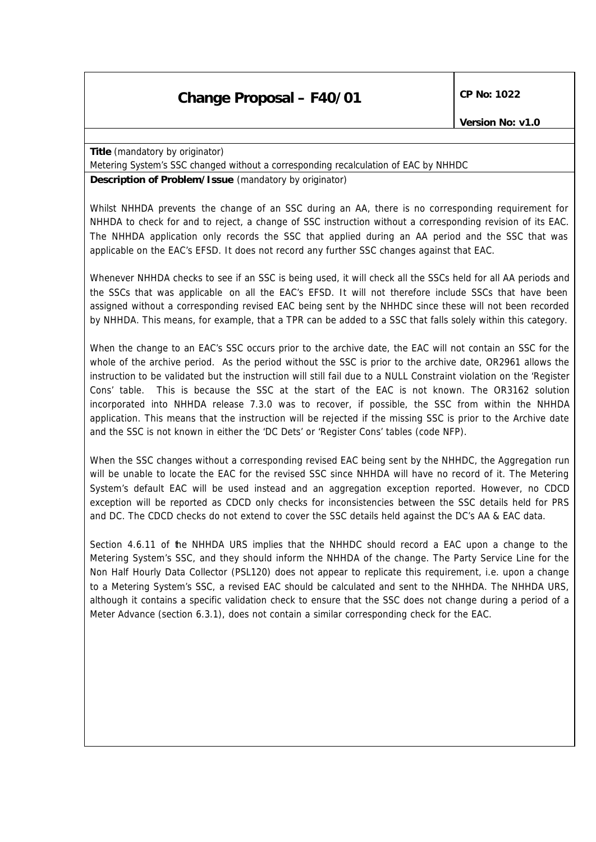## **Change Proposal – F40/01** CP No: 1022

**Title** *(mandatory by originator)*

Metering System's SSC changed without a corresponding recalculation of EAC by NHHDC

**Description of Problem/Issue** *(mandatory by originator)*

Whilst NHHDA prevents the change of an SSC during an AA, there is no corresponding requirement for NHHDA to check for and to reject, a change of SSC instruction without a corresponding revision of its EAC. The NHHDA application only records the SSC that applied during an AA period and the SSC that was applicable on the EAC's EFSD. It does not record any further SSC changes against that EAC.

Whenever NHHDA checks to see if an SSC is being used, it will check all the SSCs held for all AA periods and the SSCs that was applicable on all the EAC's EFSD. It will not therefore include SSCs that have been assigned without a corresponding revised EAC being sent by the NHHDC since these will not been recorded by NHHDA. This means, for example, that a TPR can be added to a SSC that falls solely within this category.

When the change to an EAC's SSC occurs prior to the archive date, the EAC will not contain an SSC for the whole of the archive period. As the period without the SSC is prior to the archive date, OR2961 allows the instruction to be validated but the instruction will still fail due to a NULL Constraint violation on the 'Register Cons' table. This is because the SSC at the start of the EAC is not known. The OR3162 solution incorporated into NHHDA release 7.3.0 was to recover, if possible, the SSC from within the NHHDA application. This means that the instruction will be rejected if the missing SSC is prior to the Archive date and the SSC is not known in either the 'DC Dets' or 'Register Cons' tables (code NFP).

When the SSC changes without a corresponding revised EAC being sent by the NHHDC, the Aggregation run will be unable to locate the EAC for the revised SSC since NHHDA will have no record of it. The Metering System's default EAC will be used instead and an aggregation exception reported. However, no CDCD exception will be reported as CDCD only checks for inconsistencies between the SSC details held for PRS and DC. The CDCD checks do not extend to cover the SSC details held against the DC's AA & EAC data.

Section 4.6.11 of the NHHDA URS implies that the NHHDC should record a EAC upon a change to the Metering System's SSC, and they should inform the NHHDA of the change. The Party Service Line for the Non Half Hourly Data Collector (PSL120) does not appear to replicate this requirement, i.e. upon a change to a Metering System's SSC, a revised EAC should be calculated and sent to the NHHDA. The NHHDA URS, although it contains a specific validation check to ensure that the SSC does not change during a period of a Meter Advance (section 6.3.1), does not contain a similar corresponding check for the EAC.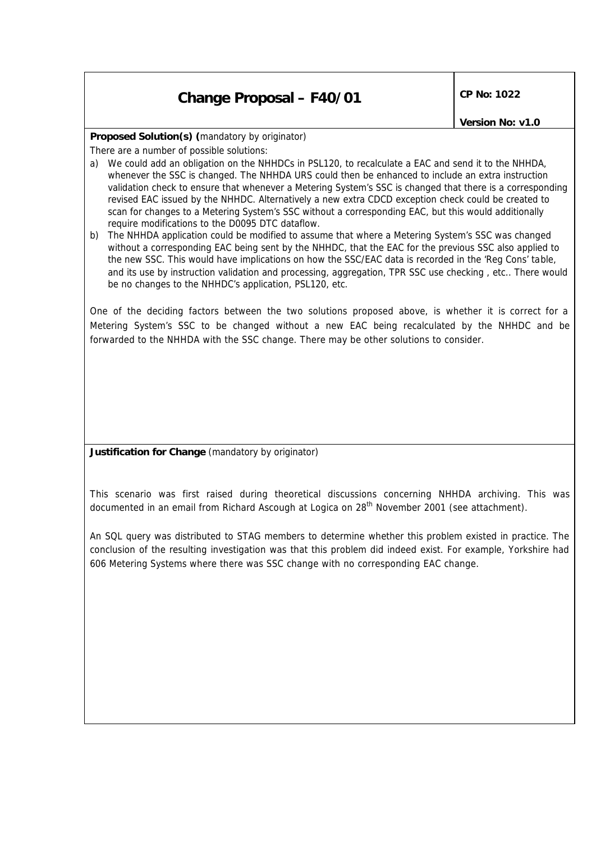## **Change Proposal – F40/01** CP No: 1022

*Version No: v1.0*

**Proposed Solution(s)** *(mandatory by originator)*

There are a number of possible solutions:

- a) We could add an obligation on the NHHDCs in PSL120, to recalculate a EAC and send it to the NHHDA, whenever the SSC is changed. The NHHDA URS could then be enhanced to include an extra instruction validation check to ensure that whenever a Metering System's SSC is changed that there is a corresponding revised EAC issued by the NHHDC. Alternatively a new extra CDCD exception check could be created to scan for changes to a Metering System's SSC without a corresponding EAC, but this would additionally require modifications to the D0095 DTC dataflow.
- b) The NHHDA application could be modified to assume that where a Metering System's SSC was changed without a corresponding EAC being sent by the NHHDC, that the EAC for the previous SSC also applied to the new SSC. This would have implications on how the SSC/EAC data is recorded in the 'Reg Cons' table, and its use by instruction validation and processing, aggregation, TPR SSC use checking , etc.. There would be no changes to the NHHDC's application, PSL120, etc.

One of the deciding factors between the two solutions proposed above, is whether it is correct for a Metering System's SSC to be changed without a new EAC being recalculated by the NHHDC and be forwarded to the NHHDA with the SSC change. There may be other solutions to consider.

**Justification for Change** *(mandatory by originator)*

This scenario was first raised during theoretical discussions concerning NHHDA archiving. This was documented in an email from Richard Ascough at Logica on 28<sup>th</sup> November 2001 (see attachment).

An SQL query was distributed to STAG members to determine whether this problem existed in practice. The conclusion of the resulting investigation was that this problem did indeed exist. For example, Yorkshire had 606 Metering Systems where there was SSC change with no corresponding EAC change.